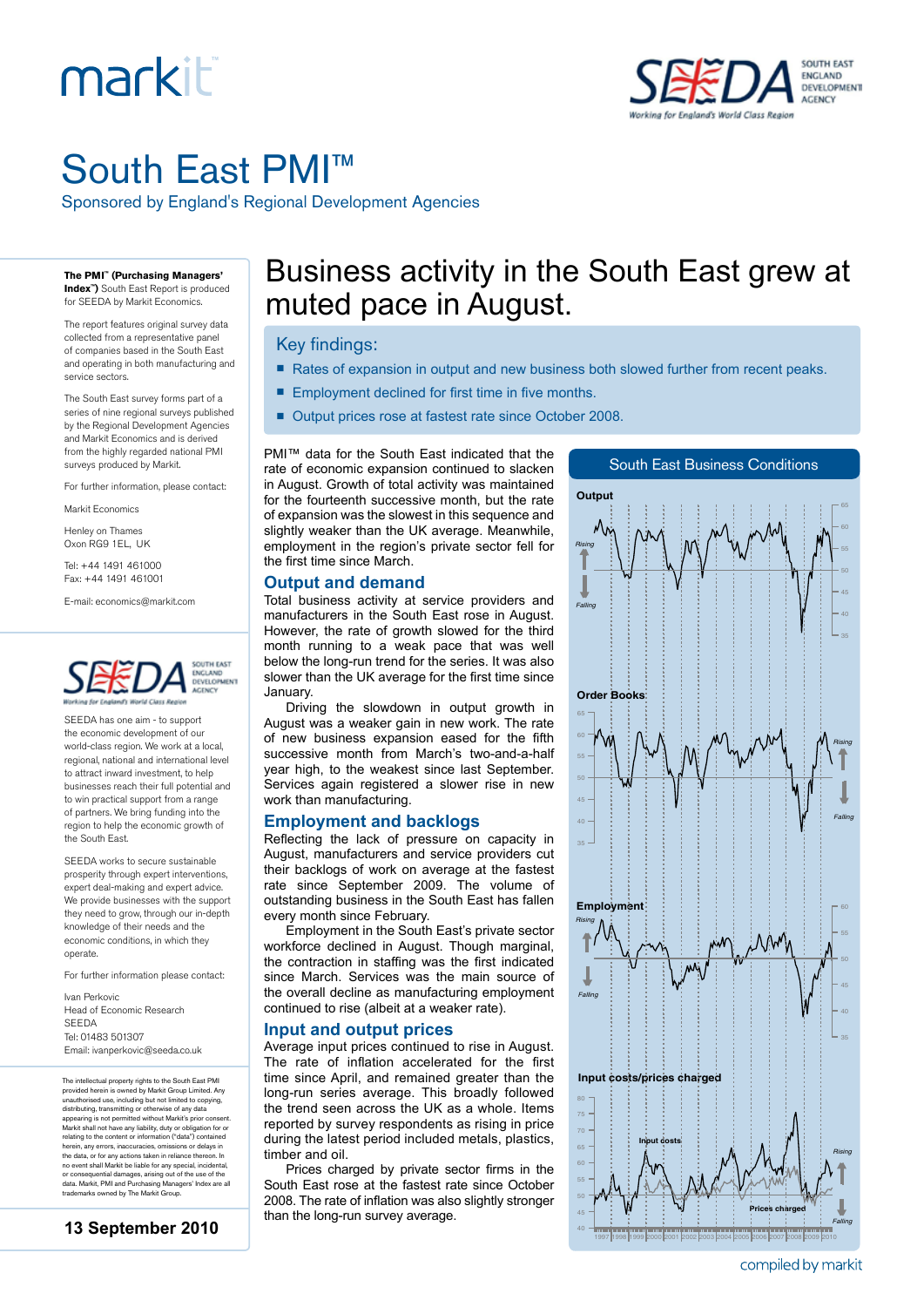# markiti



## South East PMI™

Sponsored by England's Regional Development Agencies

**The PMI™ (Purchasing Managers' Index™)** South East Report is produced

for SEEDA by Markit Economics.

The report features original survey data collected from a representative panel of companies based in the South East and operating in both manufacturing and service sectors.

The South East survey forms part of a series of nine regional surveys published by the Regional Development Agencies and Markit Economics and is derived from the highly regarded national PMI surveys produced by Markit.

For further information, please contact:

Markit Economics

Henley on Thames Oxon RG9 1EL, UK

Tel: +44 1491 461000 Fax: +44 1491 461001

E-mail: economics@markit.com



SEEDA has one aim - to support the economic development of our world-class region. We work at a local, regional, national and international level to attract inward investment, to help businesses reach their full potential and to win practical support from a range of partners. We bring funding into the region to help the economic growth of the South East.

SEEDA works to secure sustainable prosperity through expert interventions, expert deal-making and expert advice. We provide businesses with the support they need to grow, through our in-depth knowledge of their needs and the economic conditions, in which they operate.

For further information please contact:

Ivan Perkovic Head of Economic Research SEEDA Tel: 01483 501307 Email: ivanperkovic@seeda.co.uk

The intellectual property rights to the South East PMI provided herein is owned by Markit Group Limited. Any<br>unauthorised use, including but not limited to copying,<br>distributing, transmitting or otherwise of any data<br>appearing is not permitted without Markit's prior consent.<br>M herein, any errors, inaccuracies, omissions or delays in the data, or for any actions taken in reliance thereon. In no event shall Markit be liable for any special, incidental, or consequential damages, arising out of the use of the data. Markit, PMI and Purchasing Managers' Index are all trademarks owned by The Markit Group.

### Business activity in the South East grew at muted pace in August.

#### Key findings:

- Rates of expansion in output and new business both slowed further from recent peaks.
- Employment declined for first time in five months.
- Output prices rose at fastest rate since October 2008.

PMI™ data for the South East indicated that the rate of economic expansion continued to slacken in August. Growth of total activity was maintained for the fourteenth successive month, but the rate of expansion was the slowest in this sequence and slightly weaker than the UK average. Meanwhile, employment in the region's private sector fell for the first time since March.

#### **Output and demand**

Total business activity at service providers and manufacturers in the South East rose in August. However, the rate of growth slowed for the third month running to a weak pace that was well below the long-run trend for the series. It was also slower than the UK average for the first time since January.

Driving the slowdown in output growth in August was a weaker gain in new work. The rate of new business expansion eased for the fifth successive month from March's two-and-a-half year high, to the weakest since last September. Services again registered a slower rise in new work than manufacturing.

#### **Employment and backlogs**

Reflecting the lack of pressure on capacity in August, manufacturers and service providers cut their backlogs of work on average at the fastest rate since September 2009. The volume of outstanding business in the South East has fallen every month since February.

Employment in the South East's private sector workforce declined in August. Though marginal, the contraction in staffing was the first indicated since March. Services was the main source of the overall decline as manufacturing employment continued to rise (albeit at a weaker rate).

#### **Input and output prices**

Average input prices continued to rise in August. The rate of inflation accelerated for the first time since April, and remained greater than the long-run series average. This broadly followed the trend seen across the UK as a whole. Items reported by survey respondents as rising in price during the latest period included metals, plastics, timber and oil.

Prices charged by private sector firms in the South East rose at the fastest rate since October 2008. The rate of inflation was also slightly stronger than the long-run survey average.



compiled by markit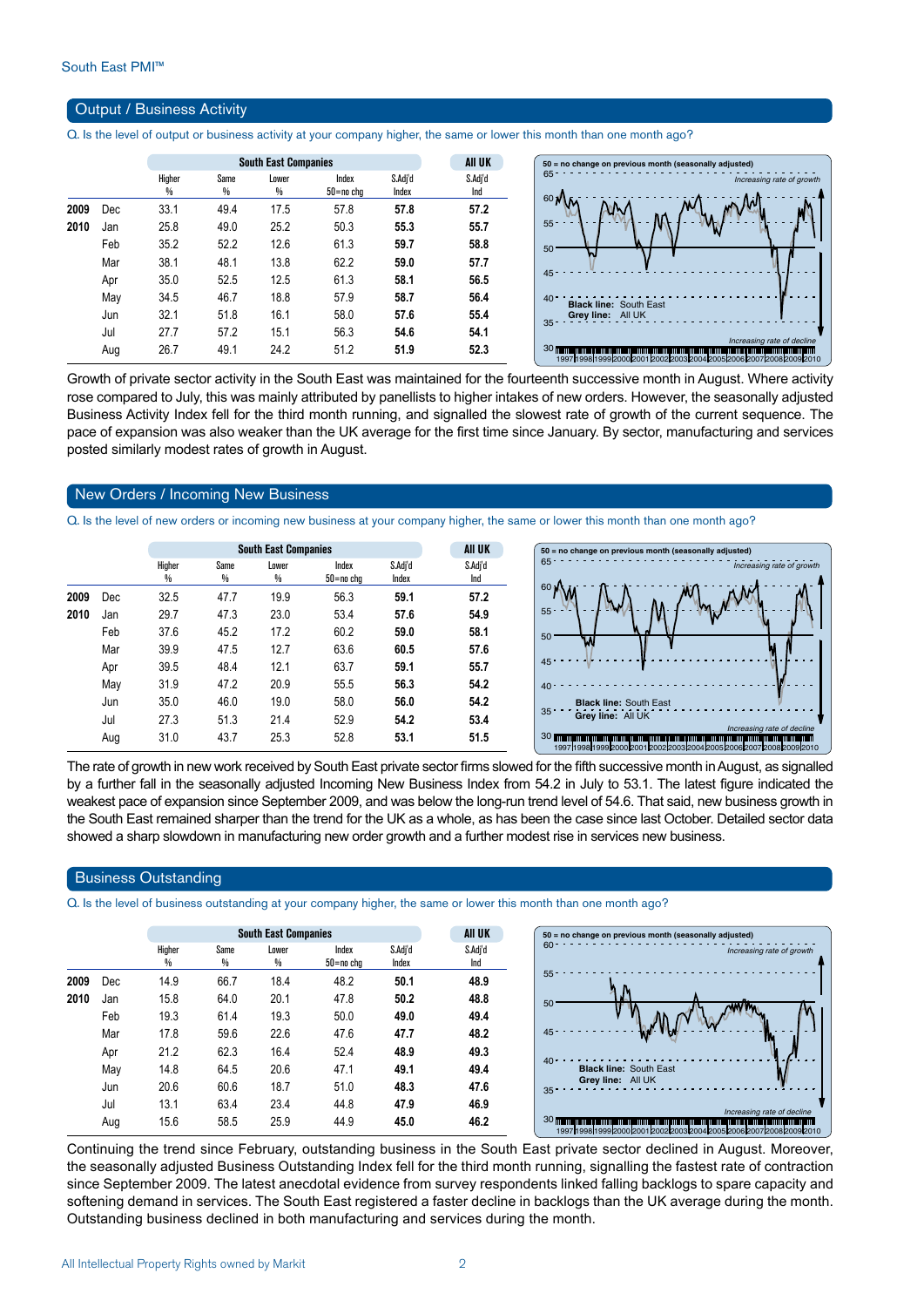#### Output / Business Activity

Q. Is the level of output or business activity at your company higher, the same or lower this month than one month ago?

|      |     |             | <b>South East Companies</b> |            | All UK             |                  |                |
|------|-----|-------------|-----------------------------|------------|--------------------|------------------|----------------|
|      |     | Higher<br>% | Same<br>%                   | Lower<br>% | Index<br>50=no cha | S.Adj'd<br>Index | S.Adj'd<br>Ind |
| 2009 | Dec | 33.1        | 49.4                        | 17.5       | 57.8               | 57.8             | 57.2           |
| 2010 | Jan | 25.8        | 49.0                        | 25.2       | 50.3               | 55.3             | 55.7           |
|      | Feb | 35.2        | 52.2                        | 12.6       | 61.3               | 59.7             | 58.8           |
|      | Mar | 38.1        | 48.1                        | 13.8       | 62.2               | 59.0             | 57.7           |
|      | Apr | 35.0        | 52.5                        | 12.5       | 61.3               | 58.1             | 56.5           |
|      | May | 34.5        | 46.7                        | 18.8       | 57.9               | 58.7             | 56.4           |
|      | Jun | 32.1        | 51.8                        | 16.1       | 58.0               | 57.6             | 55.4           |
|      | Jul | 27.7        | 57.2                        | 15.1       | 56.3               | 54.6             | 54.1           |
|      | Aug | 26.7        | 49.1                        | 24.2       | 51.2               | 51.9             | 523            |

Growth of private sector activity in the South East was maintained for the fourteenth successive month in August. Where activity rose compared to July, this was mainly attributed by panellists to higher intakes of new orders. However, the seasonally adjusted Business Activity Index fell for the third month running, and signalled the slowest rate of growth of the current sequence. The pace of expansion was also weaker than the UK average for the first time since January. By sector, manufacturing and services posted similarly modest rates of growth in August.

#### New Orders / Incoming New Business

Q. Is the level of new orders or incoming new business at your company higher, the same or lower this month than one month ago?

|      |     |             |           | <b>South East Companies</b> |                    |                  | <b>AII UK</b>  | 50 = no change on previous month (seasonally adjusted)                                                                                                                                                                                                  |  |  |
|------|-----|-------------|-----------|-----------------------------|--------------------|------------------|----------------|---------------------------------------------------------------------------------------------------------------------------------------------------------------------------------------------------------------------------------------------------------|--|--|
|      |     | Higher<br>% | Same<br>₩ | Lower<br>%                  | Index<br>50=no cha | S.Adj'd<br>Index | S.Adi'd<br>Ind | 65<br>Increasing rate of growth                                                                                                                                                                                                                         |  |  |
| 2009 | Dec | 32.5        | 47.7      | 19.9                        | 56.3               | 59.1             | 57.2           | 60 <sub>1</sub>                                                                                                                                                                                                                                         |  |  |
| 2010 | Jan | 29.7        | 47.3      | 23.0                        | 53.4               | 57.6             | 54.9           | $55 - 7$                                                                                                                                                                                                                                                |  |  |
|      | Feb | 37.6        | 45.2      | 17.2                        | 60.2               | 59.0             | 58.1           | 50                                                                                                                                                                                                                                                      |  |  |
|      | Mar | 39.9        | 47.5      | 12.7                        | 63.6               | 60.5             | 57.6           |                                                                                                                                                                                                                                                         |  |  |
|      | Apr | 39.5        | 48.4      | 12.1                        | 63.7               | 59.1             | 55.7           | 45                                                                                                                                                                                                                                                      |  |  |
|      | May | 31.9        | 47.2      | 20.9                        | 55.5               | 56.3             | 54.2           | 40                                                                                                                                                                                                                                                      |  |  |
|      | Jun | 35.0        | 46.0      | 19.0                        | 58.0               | 56.0             | 54.2           | <b>Black line: South East</b>                                                                                                                                                                                                                           |  |  |
|      | Jul | 27.3        | 51.3      | 21.4                        | 52.9               | 54.2             | 53.4           | 35<br>Grey line: All UK                                                                                                                                                                                                                                 |  |  |
|      | Aug | 31.0        | 43.7      | 25.3                        | 52.8               | 53.1             | 51.5           | Increasing rate of decline<br>30 mm<br>i indiana ana ana ama ana amama ama<br><u> 1111   1121   1121   1121   1121   1121   1121   1121   1121   1121   1121   1121   1121   1121   1</u><br>1997119981199920002001200220032004200520062007200820092010 |  |  |

The rate of growth in new work received by South East private sector firms slowed for the fifth successive month in August, as signalled by a further fall in the seasonally adjusted Incoming New Business Index from 54.2 in July to 53.1. The latest figure indicated the weakest pace of expansion since September 2009, and was below the long-run trend level of 54.6. That said, new business growth in the South East remained sharper than the trend for the UK as a whole, as has been the case since last October. Detailed sector data showed a sharp slowdown in manufacturing new order growth and a further modest rise in services new business.

#### Business Outstanding

Q. Is the level of business outstanding at your company higher, the same or lower this month than one month ago?

|      |     |             | <b>South East Companies</b> |            | <b>AII UK</b>      |                  |                                                                               |
|------|-----|-------------|-----------------------------|------------|--------------------|------------------|-------------------------------------------------------------------------------|
|      |     | Higher<br>% | Same<br>%                   | Lower<br>% | Index<br>50=no cha | S.Adj'd<br>Index | S.Adj'd<br>Ind                                                                |
| 2009 | Dec | 14.9        | 66.7                        | 18.4       | 48.2               | 50.1             | 48.9                                                                          |
| 2010 | Jan | 15.8        | 64.0                        | 20.1       | 47.8               | 50.2             | 48.8                                                                          |
|      | Feb | 19.3        | 61.4                        | 19.3       | 50.0               | 49.0             | 49.4                                                                          |
|      | Mar | 17.8        | 59.6                        | 22.6       | 47.6               | 47.7             | 48.2                                                                          |
|      | Apr | 21.2        | 62.3                        | 16.4       | 52.4               | 48.9             | 49.3                                                                          |
|      | May | 14.8        | 64.5                        | 20.6       | 47.1               | 49.1             | 40 <sup>1</sup><br>49.4<br><b>Black line: South East</b><br>Grey line: All UK |
|      | Jun | 20.6        | 60.6                        | 18.7       | 51.0               | 48.3             | 47.6                                                                          |
|      | Jul | 13.1        | 63.4                        | 23.4       | 44.8               | 47.9             | 46.9                                                                          |
|      | Aug | 15.6        | 58.5                        | 25.9       | 44.9               | 45.0             | 46.2                                                                          |

Continuing the trend since February, outstanding business in the South East private sector declined in August. Moreover, the seasonally adjusted Business Outstanding Index fell for the third month running, signalling the fastest rate of contraction since September 2009. The latest anecdotal evidence from survey respondents linked falling backlogs to spare capacity and softening demand in services. The South East registered a faster decline in backlogs than the UK average during the month. Outstanding business declined in both manufacturing and services during the month.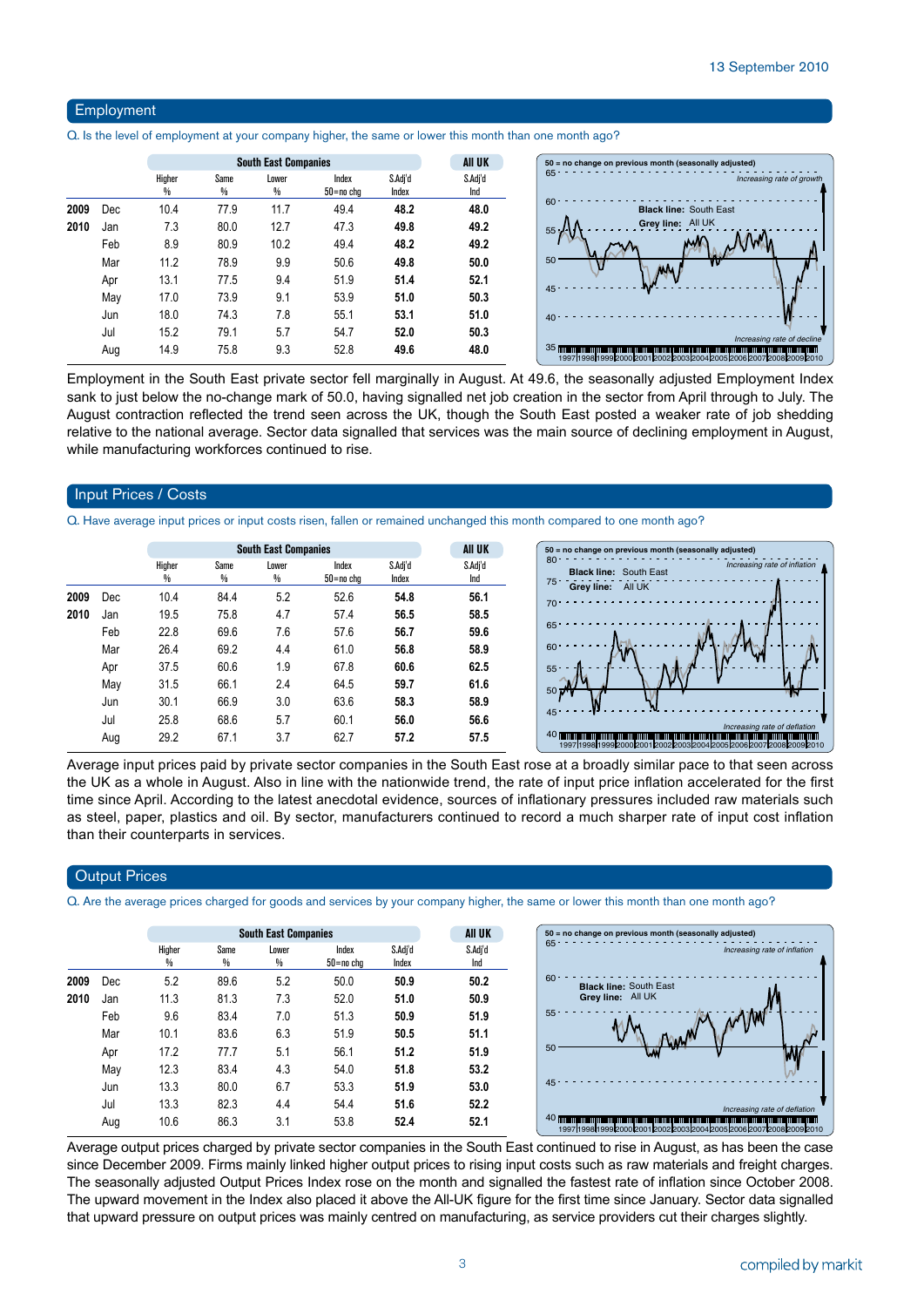#### Employment

Q. Is the level of employment at your company higher, the same or lower this month than one month ago?

|      |     |             |           | All UK     |                    |                  |                |
|------|-----|-------------|-----------|------------|--------------------|------------------|----------------|
|      |     | Higher<br>₩ | Same<br>% | Lower<br>% | Index<br>50=no cha | S.Adj'd<br>Index | S.Adj'd<br>Ind |
| 2009 | Dec | 10.4        | 77.9      | 11.7       | 49.4               | 48.2             | 48.0           |
| 2010 | Jan | 7.3         | 80.0      | 12.7       | 47.3               | 49.8             | 49.2           |
|      | Feb | 8.9         | 80.9      | 10.2       | 49.4               | 48.2             | 49.2           |
|      | Mar | 11.2        | 78.9      | 9.9        | 50.6               | 49.8             | 50.0           |
|      | Apr | 13.1        | 77.5      | 9.4        | 51.9               | 51.4             | 52.1           |
|      | May | 17.0        | 73.9      | 9.1        | 53.9               | 51.0             | 50.3           |
|      | Jun | 18.0        | 74.3      | 7.8        | 55.1               | 53.1             | 51.0           |
|      | Jul | 15.2        | 79.1      | 5.7        | 54.7               | 52.0             | 50.3           |
|      | Aug | 14.9        | 75.8      | 9.3        | 52.8               | 49.6             | 48.0           |

Employment in the South East private sector fell marginally in August. At 49.6, the seasonally adjusted Employment Index sank to just below the no-change mark of 50.0, having signalled net job creation in the sector from April through to July. The August contraction reflected the trend seen across the UK, though the South East posted a weaker rate of job shedding relative to the national average. Sector data signalled that services was the main source of declining employment in August, while manufacturing workforces continued to rise.

#### Input Prices / Costs

Q. Have average input prices or input costs risen, fallen or remained unchanged this month compared to one month ago?

|      |     |             |                       | <b>South East Companies</b> |                        | AII UK           | $50 = no change on p$ |                                       |
|------|-----|-------------|-----------------------|-----------------------------|------------------------|------------------|-----------------------|---------------------------------------|
|      |     | Higher<br>% | Same<br>$\frac{0}{0}$ | Lower<br>%                  | Index<br>$50 = no$ chg | S.Adj'd<br>Index | S.Adj'd<br>Ind        | $80 -$<br><b>Black line:</b><br>75    |
| 2009 | Dec | 10.4        | 84.4                  | 5.2                         | 52.6                   | 54.8             | 56.1                  | Grey line:<br>$70 -$                  |
| 2010 | Jan | 19.5        | 75.8                  | 4.7                         | 57.4                   | 56.5             | 58.5                  |                                       |
|      | Feb | 22.8        | 69.6                  | 7.6                         | 57.6                   | 56.7             | 59.6                  | 65                                    |
|      | Mar | 26.4        | 69.2                  | 4.4                         | 61.0                   | 56.8             | 58.9                  | 60                                    |
|      | Apr | 37.5        | 60.6                  | 1.9                         | 67.8                   | 60.6             | 62.5                  | $55 -$                                |
|      | May | 31.5        | 66.1                  | 2.4                         | 64.5                   | 59.7             | 61.6                  | $50 \frac{m}{2}$                      |
|      | Jun | 30.1        | 66.9                  | 3.0                         | 63.6                   | 58.3             | 58.9                  |                                       |
|      | Jul | 25.8        | 68.6                  | 5.7                         | 60.1                   | 56.0             | 56.6                  | $45 -$                                |
|      | Aug | 29.2        | 67.1                  | 3.7                         | 62.7                   | 57.2             | 57.5                  | <b>40 mmmmmmmmmm</b><br>1997199819992 |



Average input prices paid by private sector companies in the South East rose at a broadly similar pace to that seen across the UK as a whole in August. Also in line with the nationwide trend, the rate of input price inflation accelerated for the first time since April. According to the latest anecdotal evidence, sources of inflationary pressures included raw materials such as steel, paper, plastics and oil. By sector, manufacturers continued to record a much sharper rate of input cost inflation than their counterparts in services.

#### **Output Prices**

Q. Are the average prices charged for goods and services by your company higher, the same or lower this month than one month ago?

|      |     |             |           | <b>South East Companies</b> |                    |                  | All UK         | 50 = no change on previous month (seasonally adjusted)                                                                                                                                        |
|------|-----|-------------|-----------|-----------------------------|--------------------|------------------|----------------|-----------------------------------------------------------------------------------------------------------------------------------------------------------------------------------------------|
|      |     | Higher<br>% | Same<br>% | Lower<br>%                  | Index<br>50=no chq | S.Adi'd<br>Index | S.Adj'd<br>Ind | $65 -$<br>Increasing rate of inflation                                                                                                                                                        |
| 2009 | Dec | 5.2         | 89.6      | 5.2                         | 50.0               | 50.9             | 50.2           | $60 -$<br><b>Black line: South East</b>                                                                                                                                                       |
| 2010 | Jan | 11.3        | 81.3      | 7.3                         | 52.0               | 51.0             | 50.9           | Grey line: All UK                                                                                                                                                                             |
|      | Feb | 9.6         | 83.4      | 7.0                         | 51.3               | 50.9             | 51.9           | $55^{\circ}$                                                                                                                                                                                  |
|      | Mar | 10.1        | 83.6      | 6.3                         | 51.9               | 50.5             | 51.1           |                                                                                                                                                                                               |
|      | Apr | 17.2        | 77.7      | 5.1                         | 56.1               | 51.2             | 51.9           | 50<br>w                                                                                                                                                                                       |
|      | May | 12.3        | 83.4      | 4.3                         | 54.0               | 51.8             | 53.2           |                                                                                                                                                                                               |
|      | Jun | 13.3        | 80.0      | 6.7                         | 53.3               | 51.9             | 53.0           | 45 <sup>4</sup>                                                                                                                                                                               |
|      | Jul | 13.3        | 82.3      | 4.4                         | 54.4               | 51.6             | 52.2           | Increasing rate of deflation                                                                                                                                                                  |
|      | Aug | 10.6        | 86.3      | 3.1                         | 53.8               | 52.4             | 52.1           | 40 mm protection and continued to the control of the control of the control protection and control of the control of<br>1997 1998 1999 2000 2001 2002 2003 2004 2005 2006 2007 2008 2009 2010 |

Average output prices charged by private sector companies in the South East continued to rise in August, as has been the case since December 2009. Firms mainly linked higher output prices to rising input costs such as raw materials and freight charges. The seasonally adjusted Output Prices Index rose on the month and signalled the fastest rate of inflation since October 2008. The upward movement in the Index also placed it above the All-UK figure for the first time since January. Sector data signalled that upward pressure on output prices was mainly centred on manufacturing, as service providers cut their charges slightly.